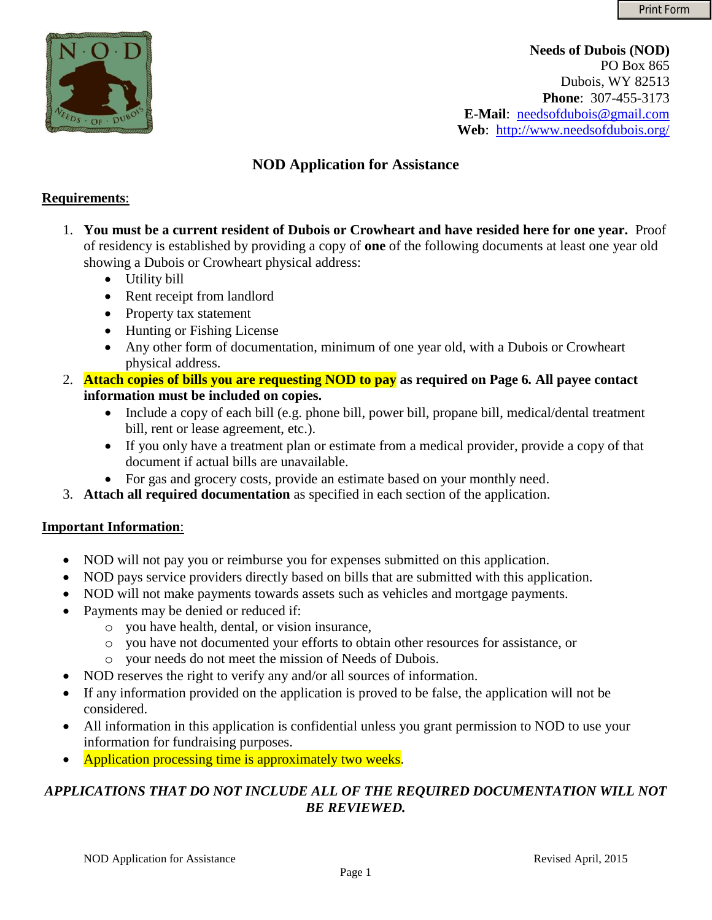

**Needs of Dubois (NOD)**  PO Box 865 Dubois, WY 82513 **Phone**: 307-455-3173 **E-Mail**: [needsofdubois@gmail.com](mailto:needsofdubois@gmail.com) **Web**: <http://www.needsofdubois.org/>

## **NOD Application for Assistance**

### **Requirements**:

- 1. **You must be a current resident of Dubois or Crowheart and have resided here for one year.** Proof of residency is established by providing a copy of **one** of the following documents at least one year old showing a Dubois or Crowheart physical address:
	- Utility bill
	- Rent receipt from landlord
	- Property tax statement
	- Hunting or Fishing License
	- Any other form of documentation, minimum of one year old, with a Dubois or Crowheart physical address.
- 2. **Attach copies of bills you are requesting NOD to pay as required on Page 6***.* **All payee contact information must be included on copies.**
	- Include a copy of each bill (e.g. phone bill, power bill, propane bill, medical/dental treatment bill, rent or lease agreement, etc.).
	- If you only have a treatment plan or estimate from a medical provider, provide a copy of that document if actual bills are unavailable.
	- For gas and grocery costs, provide an estimate based on your monthly need.
- 3. **Attach all required documentation** as specified in each section of the application.

#### **Important Information**:

- NOD will not pay you or reimburse you for expenses submitted on this application.
- NOD pays service providers directly based on bills that are submitted with this application.
- NOD will not make payments towards assets such as vehicles and mortgage payments.
- Payments may be denied or reduced if:
	- o you have health, dental, or vision insurance,
	- o you have not documented your efforts to obtain other resources for assistance, or
	- o your needs do not meet the mission of Needs of Dubois.
- NOD reserves the right to verify any and/or all sources of information.
- If any information provided on the application is proved to be false, the application will not be considered.
- All information in this application is confidential unless you grant permission to NOD to use your information for fundraising purposes.
- Application processing time is approximately two weeks.

## *APPLICATIONS THAT DO NOT INCLUDE ALL OF THE REQUIRED DOCUMENTATION WILL NOT BE REVIEWED.*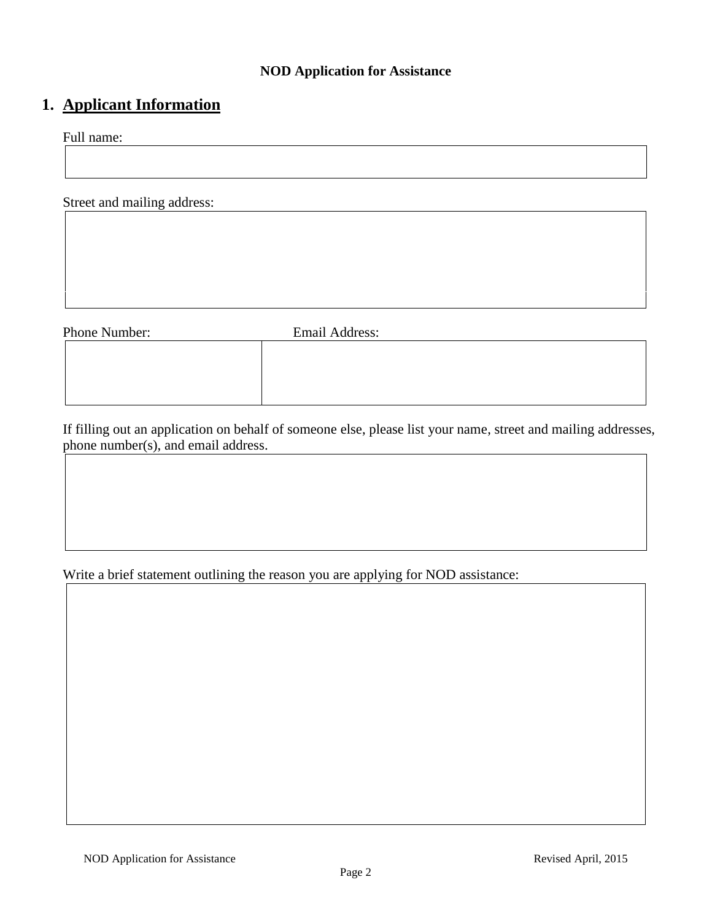#### **NOD Application for Assistance**

# **1. Applicant Information**

Full name:

Street and mailing address:

Phone Number: Email Address:

If filling out an application on behalf of someone else, please list your name, street and mailing addresses, phone number(s), and email address.

Write a brief statement outlining the reason you are applying for NOD assistance: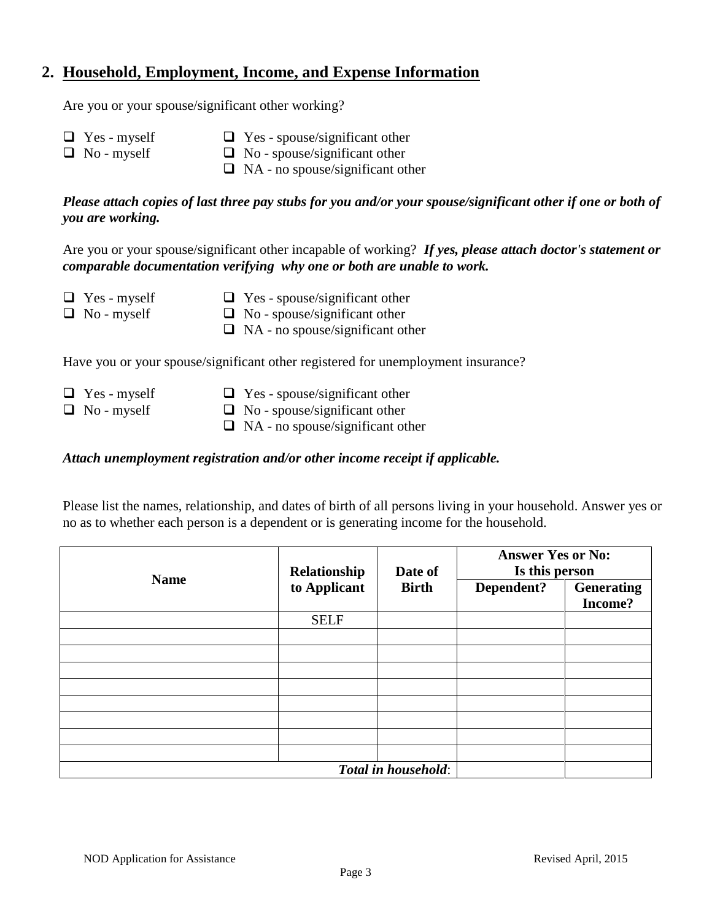## **2. Household, Employment, Income, and Expense Information**

Are you or your spouse/significant other working?

- $\Box$  Yes myself  $\Box$  Yes - spouse/significant other
- □ No myself
- $\Box$  No spouse/significant other
- $\Box$  NA no spouse/significant other

*Please attach copies of last three pay stubs for you and/or your spouse/significant other if one or both of you are working.*

Are you or your spouse/significant other incapable of working? *If yes, please attach doctor's statement or comparable documentation verifying why one or both are unable to work.* 

- Yes myself
- $\Box$  Yes spouse/significant other
- $\Box$  No myself
- $\Box$  No spouse/significant other
- $\Box$  NA no spouse/significant other

Have you or your spouse/significant other registered for unemployment insurance?

- $\Box$  Yes myself ■ No - myself
- $\Box$  Yes spouse/significant other
- $\Box$  No spouse/significant other
	- $\Box$  NA no spouse/significant other

#### *Attach unemployment registration and/or other income receipt if applicable.*

Please list the names, relationship, and dates of birth of all persons living in your household. Answer yes or no as to whether each person is a dependent or is generating income for the household.

| <b>Name</b>         | Relationship | Date of      | <b>Answer Yes or No:</b><br>Is this person |                   |
|---------------------|--------------|--------------|--------------------------------------------|-------------------|
|                     | to Applicant | <b>Birth</b> | Dependent?                                 | <b>Generating</b> |
|                     |              |              |                                            | Income?           |
|                     | <b>SELF</b>  |              |                                            |                   |
|                     |              |              |                                            |                   |
|                     |              |              |                                            |                   |
|                     |              |              |                                            |                   |
|                     |              |              |                                            |                   |
|                     |              |              |                                            |                   |
|                     |              |              |                                            |                   |
|                     |              |              |                                            |                   |
|                     |              |              |                                            |                   |
| Total in household: |              |              |                                            |                   |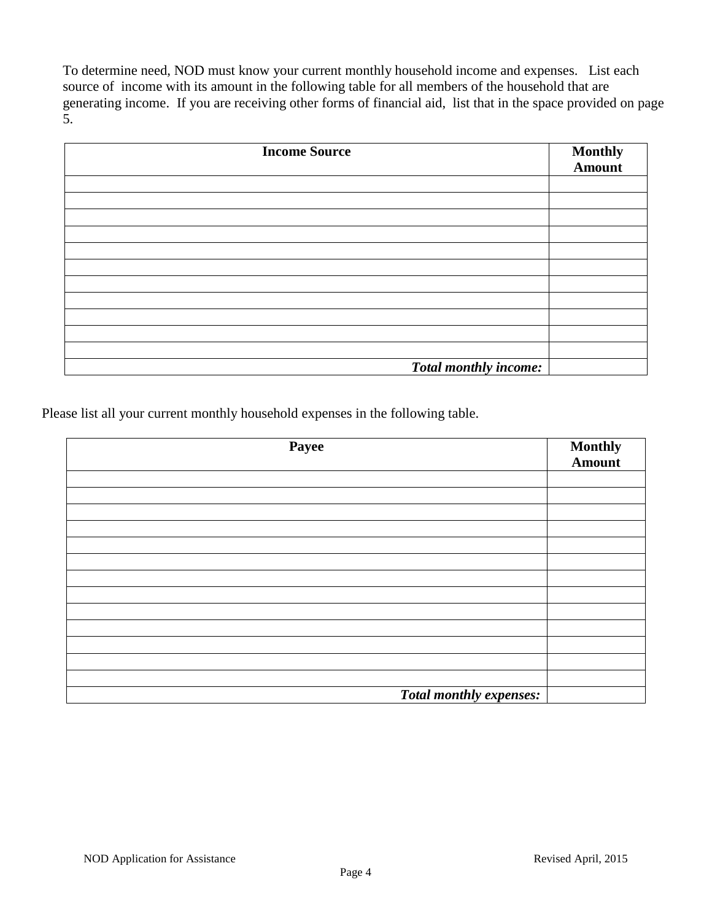To determine need, NOD must know your current monthly household income and expenses. List each source of income with its amount in the following table for all members of the household that are generating income. If you are receiving other forms of financial aid, list that in the space provided on page 5.

| <b>Income Source</b>  | <b>Monthly</b><br><b>Amount</b> |
|-----------------------|---------------------------------|
|                       |                                 |
|                       |                                 |
|                       |                                 |
|                       |                                 |
|                       |                                 |
|                       |                                 |
|                       |                                 |
|                       |                                 |
|                       |                                 |
|                       |                                 |
|                       |                                 |
| Total monthly income: |                                 |

Please list all your current monthly household expenses in the following table.

| Payee                          | <b>Monthly</b><br><b>Amount</b> |
|--------------------------------|---------------------------------|
|                                |                                 |
|                                |                                 |
|                                |                                 |
|                                |                                 |
|                                |                                 |
|                                |                                 |
|                                |                                 |
|                                |                                 |
|                                |                                 |
|                                |                                 |
| <b>Total monthly expenses:</b> |                                 |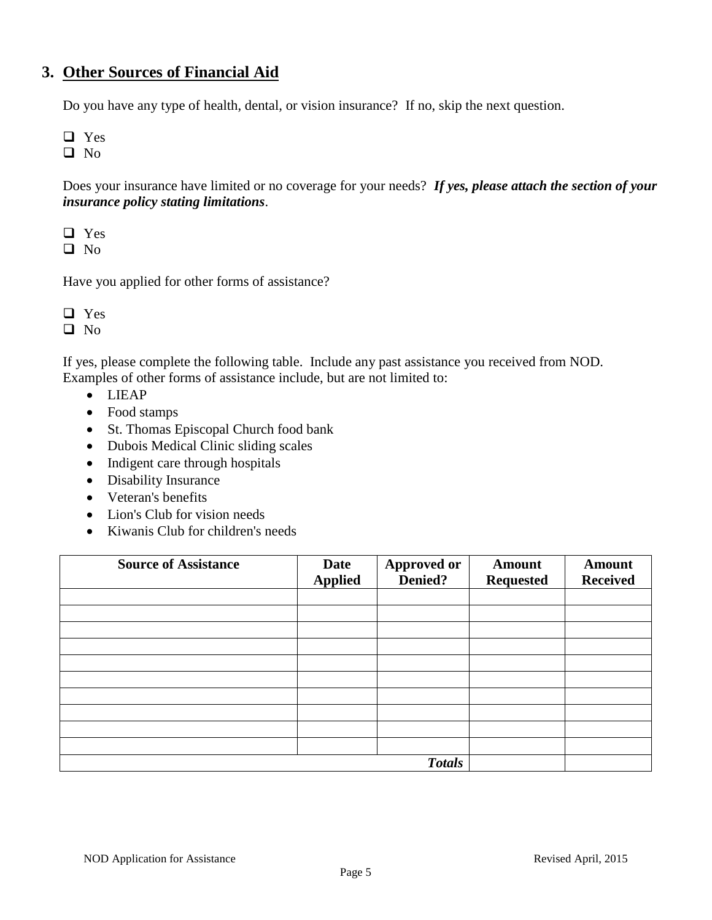## **3. Other Sources of Financial Aid**

Do you have any type of health, dental, or vision insurance? If no, skip the next question.

Yes

 $\Box$  No

Does your insurance have limited or no coverage for your needs? *If yes, please attach the section of your insurance policy stating limitations*.

□ Yes

 $\Box$  No

Have you applied for other forms of assistance?

Yes

If yes, please complete the following table. Include any past assistance you received from NOD. Examples of other forms of assistance include, but are not limited to:

- LIEAP
- Food stamps
- St. Thomas Episcopal Church food bank
- Dubois Medical Clinic sliding scales
- Indigent care through hospitals
- Disability Insurance
- Veteran's benefits
- Lion's Club for vision needs
- Kiwanis Club for children's needs

| <b>Source of Assistance</b> | <b>Date</b><br><b>Applied</b> | <b>Approved or</b><br>Denied? | <b>Amount</b><br><b>Requested</b> | <b>Amount</b><br><b>Received</b> |
|-----------------------------|-------------------------------|-------------------------------|-----------------------------------|----------------------------------|
|                             |                               |                               |                                   |                                  |
|                             |                               |                               |                                   |                                  |
|                             |                               |                               |                                   |                                  |
|                             |                               |                               |                                   |                                  |
|                             |                               |                               |                                   |                                  |
|                             |                               |                               |                                   |                                  |
|                             |                               |                               |                                   |                                  |
|                             |                               |                               |                                   |                                  |
|                             |                               |                               |                                   |                                  |
|                             |                               |                               |                                   |                                  |
| <b>Totals</b>               |                               |                               |                                   |                                  |